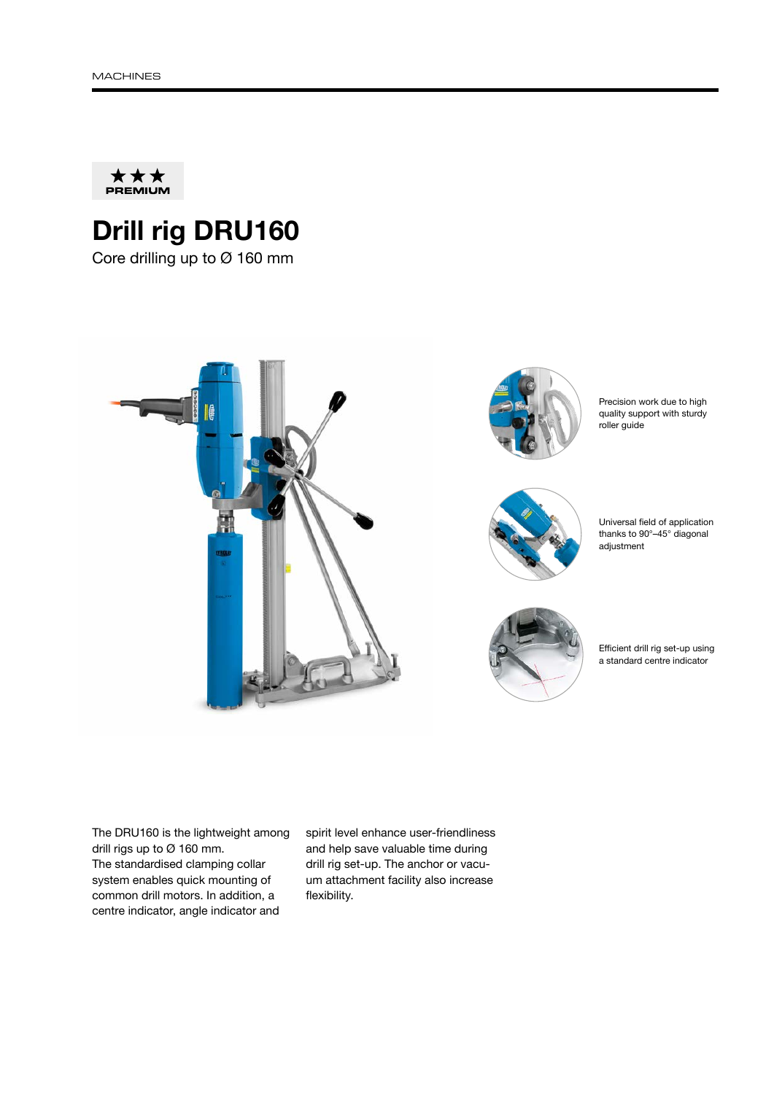

## Drill rig DRU160

Core drilling up to Ø 160 mm



The DRU160 is the lightweight among drill rigs up to Ø 160 mm. The standardised clamping collar system enables quick mounting of common drill motors. In addition, a centre indicator, angle indicator and

spirit level enhance user-friendliness and help save valuable time during drill rig set-up. The anchor or vacuum attachment facility also increase flexibility.